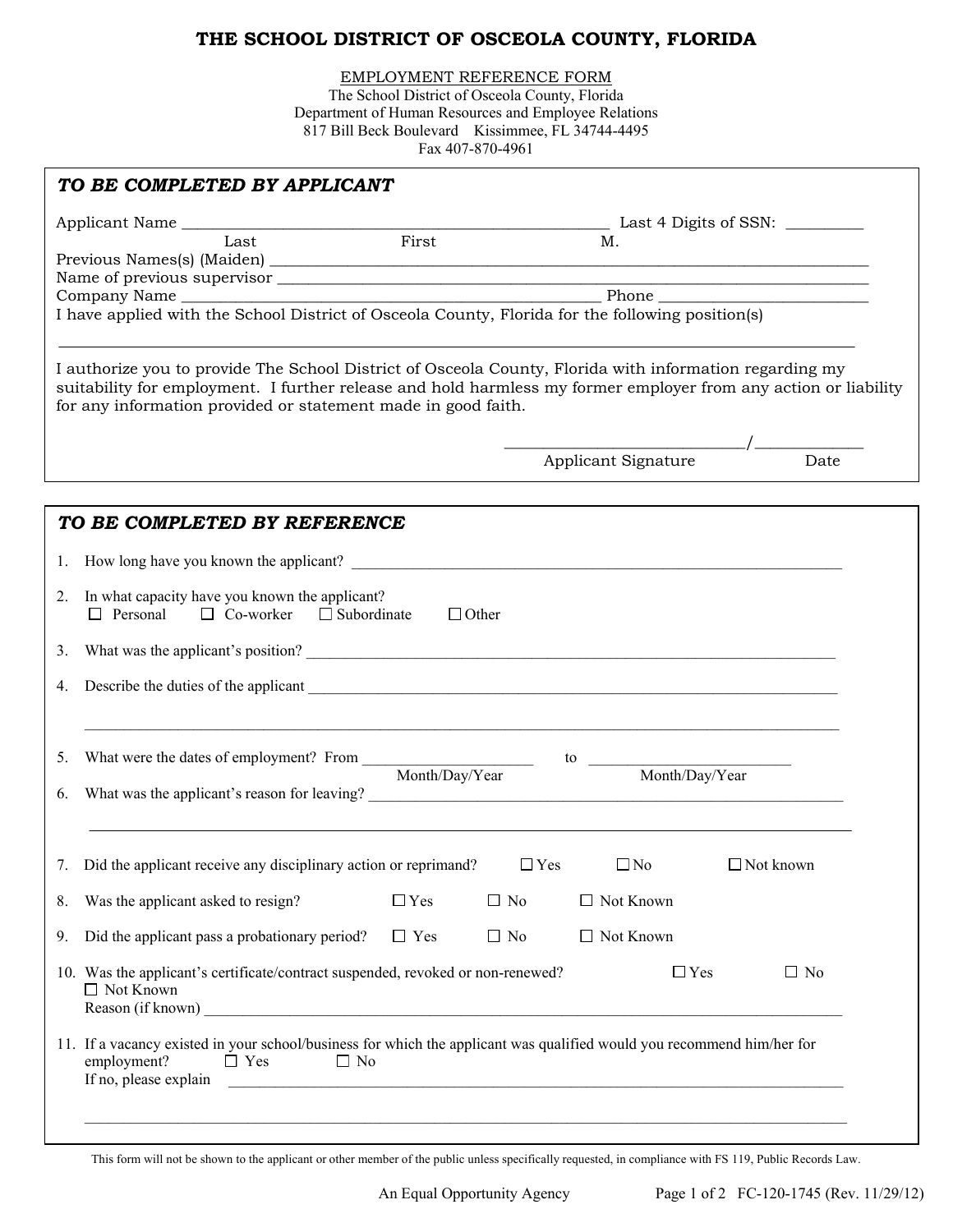## **THE SCHOOL DISTRICT OF OSCEOLA COUNTY, FLORIDA**

EMPLOYMENT REFERENCE FORM

The School District of Osceola County, Florida Department of Human Resources and Employee Relations 817 Bill Beck Boulevard Kissimmee, FL 34744-4495 Fax 407-870-4961

|    | First<br>Last                                                                                                                                                                                                                                                                               | Μ.                                                                                                                     |           |
|----|---------------------------------------------------------------------------------------------------------------------------------------------------------------------------------------------------------------------------------------------------------------------------------------------|------------------------------------------------------------------------------------------------------------------------|-----------|
|    |                                                                                                                                                                                                                                                                                             |                                                                                                                        |           |
|    |                                                                                                                                                                                                                                                                                             |                                                                                                                        |           |
|    | Company Name Phone Phone Phone Phone Phone Phone Phone Phone Phone County, Florida for the following position(s)                                                                                                                                                                            |                                                                                                                        |           |
|    |                                                                                                                                                                                                                                                                                             |                                                                                                                        |           |
|    | I authorize you to provide The School District of Osceola County, Florida with information regarding my<br>suitability for employment. I further release and hold harmless my former employer from any action or liability<br>for any information provided or statement made in good faith. |                                                                                                                        |           |
|    |                                                                                                                                                                                                                                                                                             |                                                                                                                        |           |
|    |                                                                                                                                                                                                                                                                                             | Applicant Signature                                                                                                    | Date      |
|    | TO BE COMPLETED BY REFERENCE<br>1. How long have you known the applicant?                                                                                                                                                                                                                   |                                                                                                                        |           |
|    |                                                                                                                                                                                                                                                                                             |                                                                                                                        |           |
| 2. | In what capacity have you known the applicant?<br>$\Box$ Personal $\Box$ Co-worker $\Box$ Subordinate<br>$\Box$ Other                                                                                                                                                                       |                                                                                                                        |           |
| 3. |                                                                                                                                                                                                                                                                                             |                                                                                                                        |           |
| 4. |                                                                                                                                                                                                                                                                                             |                                                                                                                        |           |
| 5. |                                                                                                                                                                                                                                                                                             |                                                                                                                        |           |
| 6. | What was the applicant's reason for leaving?<br><u> </u>                                                                                                                                                                                                                                    |                                                                                                                        |           |
| 7. | Did the applicant receive any disciplinary action or reprimand? $\square$ Yes                                                                                                                                                                                                               | $\Box$ No $\Box$ Not known                                                                                             |           |
| 8. | Was the applicant asked to resign?<br>$\Box$ Yes                                                                                                                                                                                                                                            | $\Box$ No<br>$\Box$ Not Known                                                                                          |           |
| 9. | Did the applicant pass a probationary period?<br>$\Box$ Yes                                                                                                                                                                                                                                 | $\Box$ Not Known<br>$\Box$ No                                                                                          |           |
|    | 10. Was the applicant's certificate/contract suspended, revoked or non-renewed?<br>$\Box$ Not Known<br><u> 1989 - Johann Stoff, deutscher Stoff, der Stoff, der Stoff, der Stoff, der Stoff, der Stoff, der Stoff, der S</u><br>Reason (if known)                                           | $\Box$ Yes                                                                                                             | $\Box$ No |
|    |                                                                                                                                                                                                                                                                                             | 11. If a vacancy existed in your school/business for which the applicant was qualified would you recommend him/her for |           |

This form will not be shown to the applicant or other member of the public unless specifically requested, in compliance with FS 119, Public Records Law.